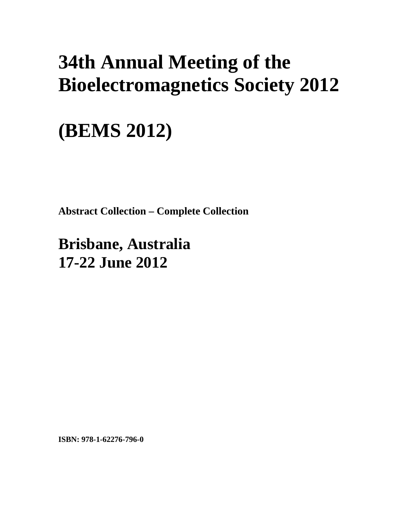# **34th Annual Meeting of the Bioelectromagnetics Society 2012**

# **(BEMS 2012)**

**Abstract Collection – Complete Collection** 

**Brisbane, Australia 17-22 June 2012**

**ISBN: 978-1-62276-796-0**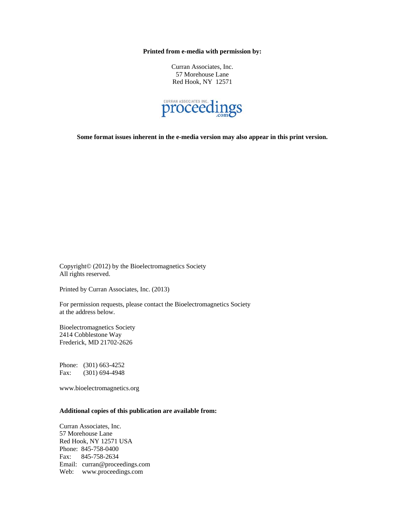**Printed from e-media with permission by:** 

Curran Associates, Inc. 57 Morehouse Lane Red Hook, NY 12571



**Some format issues inherent in the e-media version may also appear in this print version.** 

Copyright© (2012) by the Bioelectromagnetics Society All rights reserved.

Printed by Curran Associates, Inc. (2013)

For permission requests, please contact the Bioelectromagnetics Society at the address below.

Bioelectromagnetics Society 2414 Cobblestone Way Frederick, MD 21702-2626

Phone: (301) 663-4252 Fax: (301) 694-4948

www.bioelectromagnetics.org

# **Additional copies of this publication are available from:**

Curran Associates, Inc. 57 Morehouse Lane Red Hook, NY 12571 USA Phone: 845-758-0400 Fax: 845-758-2634 Email: curran@proceedings.com Web: www.proceedings.com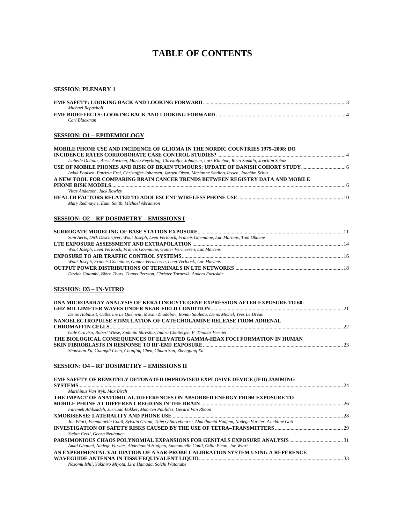# **TABLE OF CONTENTS**

#### **SESSION: PLENARY 1**

| Michael Repacholi |  |
|-------------------|--|
|                   |  |
| Carl Blackman     |  |

#### **SESSION: O1 – EPIDEMIOLOGY**

| <b>MOBILE PHONE USE AND INCIDENCE OF GLIOMA IN THE NORDIC COUNTRIES 1979–2008: DO</b>                              |  |
|--------------------------------------------------------------------------------------------------------------------|--|
|                                                                                                                    |  |
| Isabelle Deltour, Anssi Auvinen, Maria Feychting, Christoffer Johansen, Lars Klaeboe, Risto Sankila, Joachim Schuz |  |
|                                                                                                                    |  |
| Aslak Poulsen, Patrizia Frei, Christoffer Johansen, Jørgen Olsen, Marianne Steding-Jessen, Joachim Schuz           |  |
| A NEW TOOL FOR COMPARING BRAIN CANCER TRENDS BETWEEN REGISTRY DATA AND MOBILE                                      |  |
|                                                                                                                    |  |
| Vitas Anderson, Jack Rowley                                                                                        |  |
|                                                                                                                    |  |
|                                                                                                                    |  |

*Mary Redmayne, Euan Smith, Michael Abramson* 

# **SESSION: O2 – RF DOSIMETRY – EMISSIONS I**

| Sam Aerts, Dirk Deschrijver, Wout Joseph, Leen Verloock, Francis Goeminne, Luc Martens, Tom Dhaene |  |
|----------------------------------------------------------------------------------------------------|--|
|                                                                                                    |  |
| Wout Joseph, Leen Verloock, Francis Goeminne, Gunter Vermeeren, Luc Martens                        |  |
|                                                                                                    |  |
| Wout Joseph, Francis Goeminne, Gunter Vermeeren, Leen Verloock, Luc Martens                        |  |
|                                                                                                    |  |
| Davide Colombi, Björn Thors, Tomas Persson, Christer Tornevik, Anders Furuskär                     |  |

# **SESSION: O3 – IN-VITRO**

| DNA MICROARRAY ANALYSIS OF KERATINOCYTE GENE EXPRESSION AFTER EXPOSURE TO 60-                    |  |
|--------------------------------------------------------------------------------------------------|--|
|                                                                                                  |  |
| Denis Habauzit, Catherine Le Quément, Maxim Zhadobov, Ronan Sauleau, Denis Michel, Yves Le Dréan |  |
| NANOELECTROPULSE STIMULATION OF CATECHOLAMINE RELEASE FROM ADRENAL                               |  |
|                                                                                                  |  |
| Gale Craviso, Robert Wiese, Sudhata Shrestha, Indira Chatterjee, P. Thomas Vernier               |  |
| THE BIOLOGICAL CONSEQUENCES OF ELEVATED GAMMA-H2AX FOCI FORMATION IN HUMAN                       |  |
|                                                                                                  |  |
| Shanshan Xu, Guangdi Chen, Chunjing Chen, Chuan Sun, Zhengping Xu                                |  |
|                                                                                                  |  |

#### **SESSION: O4 – RF DOSIMETRY – EMISSIONS II**

| EMF SAFETY OF REMOTELY DETONATED IMPROVISED EXPLOSIVE DEVICE (IED) JAMMING                                        |  |
|-------------------------------------------------------------------------------------------------------------------|--|
|                                                                                                                   |  |
| Marthinus Van Wyk, Max Birch                                                                                      |  |
| THE IMPACT OF ANATOMICAL DIFFERENCES ON ABSORBED ENERGY FROM EXPOSURE TO                                          |  |
|                                                                                                                   |  |
| Fatemeh Adibzadeh, Jurriaan Bakker, Maarten Paulides, Gerard Van Rhoon                                            |  |
|                                                                                                                   |  |
| Joe Wiart, Emmanuelle Conil, Sylvain Grand, Thierry Sarrebourse, Abdelhamid Hadjem, Nadege Varsier, Azeddine Gati |  |
|                                                                                                                   |  |
| Stefan Cecil, Georg Neubauer                                                                                      |  |
|                                                                                                                   |  |
| Amal Ghanmi, Nadege Varsier, Abdelhamid Hadjem, Emmanuelle Conil, Odile Picon, Joe Wiart                          |  |
| AN EXPERIMENTAL VALIDATION OF A SAR-PROBE CALIBRATION SYSTEM USING A REFERENCE                                    |  |
|                                                                                                                   |  |
| Nozomu Ishii, Yukihiro Miyota, Lira Hamada, Soichi Watanabe                                                       |  |
|                                                                                                                   |  |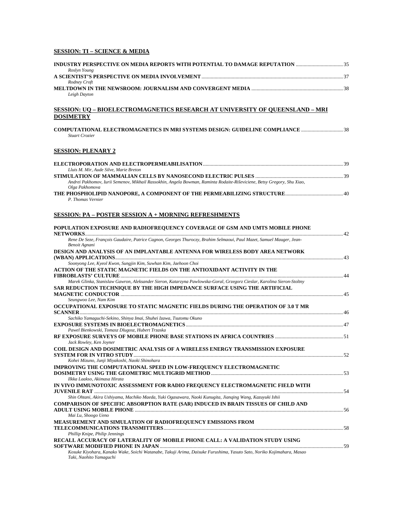# **SESSION: TI – SCIENCE & MEDIA**

| INDUSTRY PERSPECTIVE ON MEDIA REPORTS WITH POTENTIAL TO DAMAGE REPUTATION 35                                                                     |    |
|--------------------------------------------------------------------------------------------------------------------------------------------------|----|
| Roslyn Young                                                                                                                                     |    |
| Rodney Croft                                                                                                                                     |    |
| Leigh Dayton                                                                                                                                     |    |
| SESSION: UQ – BIOELECTROMAGNETICS RESEARCH AT UNIVERSITY OF QUEENSLAND – MRI                                                                     |    |
| <b>DOSIMETRY</b>                                                                                                                                 |    |
| <b>Stuart Crozier</b>                                                                                                                            |    |
| <b>SESSION: PLENARY 2</b>                                                                                                                        |    |
|                                                                                                                                                  |    |
| Lluis M. Mir, Aude Silve, Marie Breton                                                                                                           |    |
| Andrei Pakhomov, Iurii Semenov, Mikhail Rassokhin, Angela Bowman, Raminta Rodaite-Riševiciene, Betsy Gregory, Shu Xiao,                          |    |
| Olga Pakhomova                                                                                                                                   |    |
| P. Thomas Vernier                                                                                                                                |    |
| <b>SESSION: PA - POSTER SESSION A + MORNING REFRESHMENTS</b>                                                                                     |    |
| POPULATION EXPOSURE AND RADIOFREOUENCY COVERAGE OF GSM AND UMTS MOBILE PHONE                                                                     |    |
| Rene De Seze, François Gaudaire, Patrice Cagnon, Georges Thuroczy, Brahim Selmaoui, Paul Mazet, Samuel Mauger, Jean-<br>Benoit Agnani            |    |
| DESIGN AND ANALYSIS OF AN IMPLANTABLE ANTENNA FOR WIRELESS BODY AREA NETWORK                                                                     |    |
| Soonyong Lee, Kyeol Kwon, Sungjin Kim, Suwhan Kim, Jaehoon Choi                                                                                  |    |
| ACTION OF THE STATIC MAGNETIC FIELDS ON THE ANTIOXIDANT ACTIVITY IN THE                                                                          |    |
| Marek Glinka, Stanislaw Gawron, Aleksander Sieron, Katarzyna Pawlowska-Goral, Grzegorz Cieslar, Karolina Sieron-Stoltny                          |    |
| SAR REDUCTION TECHNIQUE BY THE HIGH IMPEDANCE SURFACE USING THE ARTIFICIAL                                                                       |    |
| Seungwoo Lee, Nam Kim                                                                                                                            |    |
| OCCUPATIONAL EXPOSURE TO STATIC MAGNETIC FIELDS DURING THE OPERATION OF 3.0 T MR                                                                 |    |
| Sachiko Yamaguchi-Sekino, Shinya Imai, Shuhei Izawa, Tsutomu Okuno                                                                               |    |
| Pawel Bienkowski, Tomasz Dlugosz, Hubert Trzaska                                                                                                 |    |
|                                                                                                                                                  |    |
| Jack Rowley, Ken Joyner                                                                                                                          |    |
| COIL DESIGN AND DOSIMETRIC ANALYSIS OF A WIRELESS ENERGY TRANSMISSION EXPOSURE<br><b>SYSTEM FOR IN VITRO STUDY.</b>                              | 52 |
| Kohei Mizuno, Junji Miyakoshi, Naoki Shinohara<br>IMPROVING THE COMPUTATIONAL SPEED IN LOW-FREQUENCY ELECTROMAGNETIC                             |    |
| Ilkka Laakso, Akimasa Hirata                                                                                                                     |    |
| IN VIVO IMMUNOTOXIC ASSESSMENT FOR RADIO FREQUENCY ELECTROMAGNETIC FIELD WITH                                                                    |    |
| Shin Ohtani, Akira Ushiyama, Machiko Maeda, Yuki Ogasawara, Naoki Kunugita, Jianging Wang, Kazuyuki Ishii                                        |    |
| COMPARISON OF SPECIFIC ABSORPTION RATE (SAR) INDUCED IN BRAIN TISSUES OF CHILD AND                                                               |    |
| Mai Lu, Shoogo Ueno<br>MEASUREMENT AND SIMULATION OF RADIOFREQUENCY EMISSIONS FROM                                                               |    |
|                                                                                                                                                  |    |
| Phillip Knipe, Philip Jennings<br>RECALL ACCURACY OF LATERALITY OF MOBILE PHONE CALL: A VALIDATION STUDY USING                                   |    |
|                                                                                                                                                  |    |
| Kosuke Kiyohara, Kanako Wake, Soichi Watanabe, Takuji Arima, Daisuke Furushima, Yasuto Sato, Noriko Kojimahara, Masao<br>Taki, Naohito Yamaguchi |    |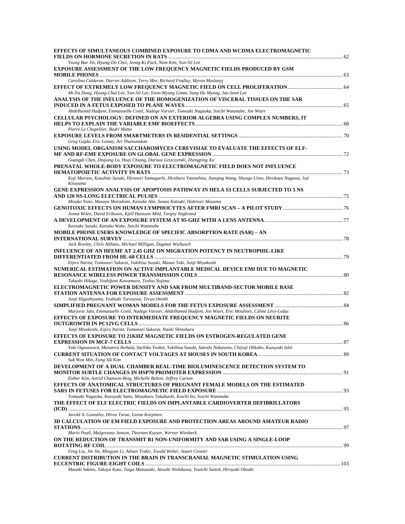| EFFECTS OF SIMULTANEOUS COMBINED EXPOSURE TO CDMA AND WCDMA ELECTROMAGNETIC                                                                                                                 |  |
|---------------------------------------------------------------------------------------------------------------------------------------------------------------------------------------------|--|
| Yeung Bae Jin, Hyung-Do Choi, Jeong-Ki Pack, Nam Kim, Yun-Sil Lee                                                                                                                           |  |
| EXPOSURE ASSESSMENT OF THE LOW FREQUENCY MAGNETIC FIELDS PRODUCED BY GSM                                                                                                                    |  |
| Carolina Calderon, Darren Addison, Terry Mee, Richard Findlay, Myron Maslanyj                                                                                                               |  |
| Mi-Na Hong, Hyung-Chul Lee, Yun-Sil Lee, Yoon-Myung Gimm, Sung Ho Myung, Jae-Seon Lee                                                                                                       |  |
| ANALYSIS OF THE INFLUENCE OF THE HOMOGENIZATION OF VISCERAL TISSUES ON THE SAR                                                                                                              |  |
| Abdelhamid Hadjem, Emmanuelle Conil, Nadege Varsier, Tomoaki Nagaoka, Soichi Watanabe, Joe Wiart                                                                                            |  |
| CELLULAR PSYCHOLOGY: DEFINED ON AN EXTERIOR ALGEBRA USING COMPLEX NUMBERS, IT                                                                                                               |  |
|                                                                                                                                                                                             |  |
| Pierre Le Chapellier, Badri Matta                                                                                                                                                           |  |
| Greg Gajda, Eric Lemay, Art Thansandote<br>USING MODEL ORGANISM SACCHAROMYCES CEREVISIAE TO EVALUATE THE EFFECTS OF ELF-                                                                    |  |
| Guangdi Chen, Deqiang Lu, Huai Chiang, Dariusz Leszczynski, Zhengping Xu                                                                                                                    |  |
| PRENATAL WHOLE-BODY EXPOSURE TO ELECTROMAGNETIC FIELD DOES NOT INFLUENCE                                                                                                                    |  |
| Koji Murono, Kazuhito Sasaki, Hironori Yamaguchi, Hiroharu Yamashita, Jianqing Wang, Shoogo Ueno, Hirokazu Nagawa, Joji<br>Kitayama                                                         |  |
| GENE EXPRESSION ANALYSIS OF APOPTOSIS PATHWAY IN HELA S3 CELLS SUBJECTED TO 5 NS                                                                                                            |  |
| Misako Yano, Masaya Morodomi, Keisuke Abe, Sunao Katsuki, Hidenori Akiyama                                                                                                                  |  |
| Jonna Wilen, David Eriksson, Kjell Hansson Mild, Torgny Stigbrand                                                                                                                           |  |
|                                                                                                                                                                                             |  |
| Kensuke Sasaki, Kanako Wake, Soichi Watanabe                                                                                                                                                |  |
| MOBILE PHONE USERS KNOWLEDGE OF SPECIFIC ABSORPTION RATE (SAR) - AN                                                                                                                         |  |
| Jack Rowley, Chris Althaus, Michael Milligan, Dagmar Wiebusch                                                                                                                               |  |
| INFLUENCE OF AN HFEMF AT 2.45 GHZ ON MIGRATION POTENCY IN NEUTROPHIL-LIKE                                                                                                                   |  |
| Eijiro Narita, Tomonori Sakurai, Yukihisa Suzuki, Masao Taki, Junji Miyakoshi                                                                                                               |  |
| NUMERICAL ESTIMATION ON ACTIVE IMPLANTABLE MEDICAL DEVICE EMI DUE TO MAGNETIC                                                                                                               |  |
|                                                                                                                                                                                             |  |
| Takashi Hikage, Yoshifumi Kawamura, Toshio Nojima                                                                                                                                           |  |
| ELECTROMAGNETIC POWER DENSITY AND SAR FROM MULTIBAND-SECTOR MOBILE BASE                                                                                                                     |  |
| Junji Higashiyama, Yoshiaki Tarusawa, Teruo Onishi                                                                                                                                          |  |
|                                                                                                                                                                                             |  |
| Marjorie Jala, Emmanuelle Conil, Nadege Varsier, Abdelhamid Hadjem, Joe Wiart, Éric Moulines, Céline Lévy-Leduc<br>EFFECTS OF EXPOSURE TO INTERMEDIATE FREQUENCY MAGNETIC FIELDS ON NEURITE |  |
|                                                                                                                                                                                             |  |
| Junji Miyakoshi, Eijiro Narita, Tomonori Sakurai, Naoki Shinohara                                                                                                                           |  |
| EFFECTS OF EXPOSURE TO 21KHZ MAGNETIC FIELDS ON ESTROGEN-REGULATED GENE                                                                                                                     |  |
| Yuki Ogasawara, Masateru Ikehata, Sachiko Yoshie, Yukihisa Suzuki, Satoshi Nakasono, Chiyoji Ohkubo, Kazuyuki Ishii                                                                         |  |
| Suk Won Min, Eung Sik Kim                                                                                                                                                                   |  |
| DEVELOPMENT OF A DUAL CHAMBER REAL-TIME BIOLUMINESCENCE DETECTION SYSTEM TO                                                                                                                 |  |
| Esther Kim, Astrid Chamson-Reig, Michelle Belton, Jeffrey Carson                                                                                                                            |  |
| EFFECTS OF ANATOMICAL STRUCTURES OF PREGNANT FEMALE MODELS ON THE ESTIMATED                                                                                                                 |  |
| Tomoaki Nagaoka, Kazuyuki Saito, Masaharu Takahashi, Koichi Ito, Soichi Watanabe                                                                                                            |  |
| THE EFFECT OF ELF ELECTRIC FIELDS ON IMPLANTABLE CARDIOVERTER DEFIBRILLATORS                                                                                                                |  |
| Jarold A. González, Hiroo Tarao, Leena Korpinen                                                                                                                                             |  |
| 3D CALCULATION OF EM FIELD EXPOSURE AND PROTECTION AREAS AROUND AMATEUR RADIO                                                                                                               |  |
| Mario Pauli, Malgorzata Janson, Thorsten Kayser, Werner Wiesbeck                                                                                                                            |  |
| ON THE REDUCTION OF TRANSMIT B1 NON-UNIFORMITY AND SAR USING A SINGLE-LOOP                                                                                                                  |  |
| Feng Liu, Jin Jin, Mingyan Li, Adnan Trakic, Ewald Weber, Stuart Crozier                                                                                                                    |  |
| CURRENT DISTRIBUTION IN THE BRAIN IN TRANSCRANIAL MAGNETIC STIMULATION USING                                                                                                                |  |
|                                                                                                                                                                                             |  |
|                                                                                                                                                                                             |  |

*Masaki Sekino, Takuya Kato, Taiga Matsuzaki, Atsushi Nishikawa, Youichi Saitoh, Hiroyuki Ohsaki*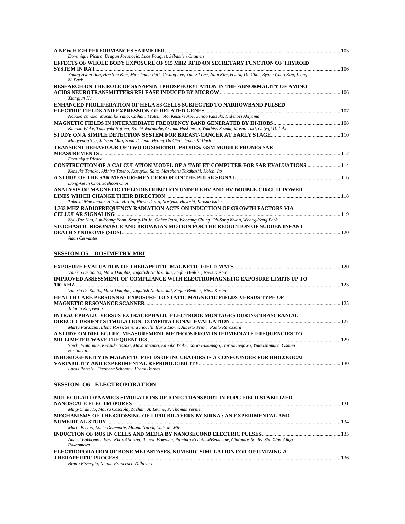| Dominique Picard, Dragan Jovanovic, Luce Fouquet, Sébastien Chauvin                                                                                                                                                              |  |
|----------------------------------------------------------------------------------------------------------------------------------------------------------------------------------------------------------------------------------|--|
| EFFECTS OF WHOLE BODY EXPOSURE OF 915 MHZ RFID ON SECRETARY FUNCTION OF THYROID                                                                                                                                                  |  |
|                                                                                                                                                                                                                                  |  |
| Young Hwan Ahn, Hae Sun Kim, Man Jeung Paik, Gwang Lee, Yun-Sil Lee, Nam Kim, Hyung-Do Choi, Byung Chan Kim, Jeong-<br>Ki Pack                                                                                                   |  |
| RESEARCH ON THE ROLE OF SYNAPSIN I PHOSPHORYLATION IN THE ABNORMALITY OF AMINO                                                                                                                                                   |  |
|                                                                                                                                                                                                                                  |  |
| Xiangjun Hu                                                                                                                                                                                                                      |  |
| <b>ENHANCED PROLIFERATION OF HELA S3 CELLS SUBJECTED TO NARROWBAND PULSED</b>                                                                                                                                                    |  |
|                                                                                                                                                                                                                                  |  |
| Nobuko Tanaka, Masahiko Yano, Chiharu Matsumoto, Keisuke Abe, Sunao Katsuki, Hidenori Akiyama                                                                                                                                    |  |
|                                                                                                                                                                                                                                  |  |
| Kanako Wake, Tomoyuki Nojima, Soichi Watanabe, Osamu Hashimoto, Yukihisa Suzuki, Masao Taki, Chiyoji Ohkubo                                                                                                                      |  |
|                                                                                                                                                                                                                                  |  |
| Mingyeong Seo, Ji-Yeon Mun, Soon-Ik Jeon, Hyung-Do Choi, Jeong-Ki Pack                                                                                                                                                           |  |
| <b>TRANSIENT BEHAVIOUR OF TWO DOSIMETRIC PROBES: GSM MOBILE PHONES SAR</b>                                                                                                                                                       |  |
|                                                                                                                                                                                                                                  |  |
| Dominique Picard                                                                                                                                                                                                                 |  |
| <b>CONSTRUCTION OF A CALCULATION MODEL OF A TABLET COMPUTER FOR SAR EVALUATIONS  114</b>                                                                                                                                         |  |
| Kensuke Tanaka, Akihiro Tateno, Kazuyuki Saito, Masaharu Takahashi, Koichi Ito                                                                                                                                                   |  |
|                                                                                                                                                                                                                                  |  |
| Dong-Geun Choi, Jaehoon Choi                                                                                                                                                                                                     |  |
| ANALYSIS OF MAGNETIC FIELD DISTRIBUTION UNDER EHV AND HV DOUBLE-CIRCUIT POWER                                                                                                                                                    |  |
|                                                                                                                                                                                                                                  |  |
| Takashi Matsumoto, Hitoshi Hirata, Hiroo Tarao, Noriyuki Hayashi, Katsuo Isaka                                                                                                                                                   |  |
| 1,763 MHZ RADIOFREQUENCY RADIATION ACTS ON INDUCTION OF GROWTH FACTORS VIA                                                                                                                                                       |  |
|                                                                                                                                                                                                                                  |  |
| Kyu-Tae Kim, Sun-Young Yoon, Seong-Jin Jo, Gahee Park, Woosung Chung, Oh-Sang Kwon, Woong-Yang Park                                                                                                                              |  |
| STOCHASTIC RESONANCE AND BROWNIAN MOTION FOR THE REDUCTION OF SUDDEN INFANT                                                                                                                                                      |  |
|                                                                                                                                                                                                                                  |  |
| $\Delta$ denotes the contract of the contract of the contract of the contract of the contract of the contract of the contract of the contract of the contract of the contract of the contract of the contract of the contract of |  |

#### *Adan Cervantes*

# **SESSION:O5 – DOSIMETRY MRI**

| Valerio De Santis, Mark Douglas, Jagadish Nadakuduti, Stefan Benkler, Niels Kuster                             |            |
|----------------------------------------------------------------------------------------------------------------|------------|
| IMPROVED ASSESSMENT OF COMPLIANCE WITH ELECTROMAGNETIC EXPOSURE LIMITS UP TO                                   |            |
|                                                                                                                | $\sim$ 123 |
| Valerio De Santis, Mark Douglas, Jagadish Nadakuduti, Stefan Benkler, Niels Kuster                             |            |
| <b>HEALTH CARE PERSONNEL EXPOSURE TO STATIC MAGNETIC FIELDS VERSUS TYPE OF</b>                                 |            |
|                                                                                                                | 125        |
| Jolanta Karpowicz                                                                                              |            |
| INTRACEPHALIC VERSUS EXTRACEPHALIC ELECTRODE MONTAGES DURING TRASCRANIAL                                       |            |
|                                                                                                                |            |
| Marta Parazzini, Elena Rossi, Serena Fiocchi, Ilaria Liorni, Alberto Priori, Paolo Ravazzani                   |            |
| A STUDY ON DIELECTRIC MEASUREMENT METHODS FROM INTERMEDIATE FREQUENCIES TO                                     |            |
|                                                                                                                | 129        |
| Soichi Watanabe, Kensuke Sasaki, Maya Mizuno, Kanako Wake, Kaori Fukunaga, Haruki Segawa, Yuta Ishimura, Osamu |            |
| Hashimoto                                                                                                      |            |
| INHOMOGENEITY IN MAGNETIC FIELDS OF INCUBATORS IS A CONFOUNDER FOR BIOLOGICAL                                  |            |
|                                                                                                                |            |

*Lucas Portelli, Theodore Schomay, Frank Barnes* 

# **SESSION: O6 - ELECTROPORATION**

| MOLECULAR DYNAMICS SIMULATIONS OF IONIC TRANSPORT IN POPC FIELD-STABILIZED                                                    |  |
|-------------------------------------------------------------------------------------------------------------------------------|--|
|                                                                                                                               |  |
| Ming-Chak Ho, Maura Casciola, Zachary A. Levine, P. Thomas Vernier                                                            |  |
| MECHANISMS OF THE CROSSING OF LIPID BILAYERS BY SIRNA : AN EXPERIMENTAL AND                                                   |  |
|                                                                                                                               |  |
| Marie Breton, Lucie Delemotte, Mounir Tarek, Lluis M. Mir                                                                     |  |
|                                                                                                                               |  |
| Andrei Pakhomov, Vera Khorokhorina, Angela Bowman, Raminta Rodaite-Riševiciene, Gintautas Saulis, Shu Xiao, Olga<br>Pakhomova |  |
| ELECTROPORATION OF BONE METASTASES. NUMERIC SIMULATION FOR OPTIMIZING A                                                       |  |
|                                                                                                                               |  |
| Bruno Bisceglia, Nicola Francesco Tallarino                                                                                   |  |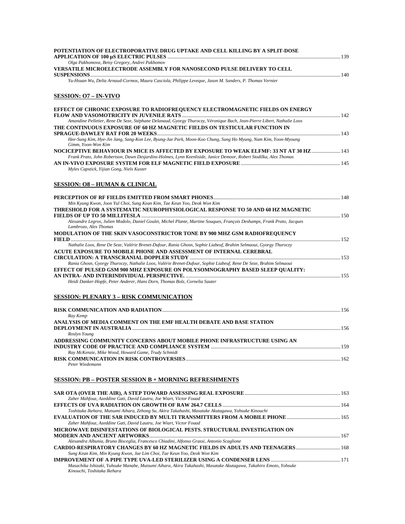| POTENTIATION OF ELECTROPORATIVE DRUG UPTAKE AND CELL KILLING BY A SPLIT-DOSE                                                                                                                       |  |
|----------------------------------------------------------------------------------------------------------------------------------------------------------------------------------------------------|--|
| Olga Pakhomova, Betsy Gregory, Andrei Pakhomov<br>VERSATILE MICROELECTRODE ASSEMBLY FOR NANOSECOND PULSE DELIVERY TO CELL                                                                          |  |
| Yu-Hsuan Wu, Delia Arnaud-Cormos, Maura Casciola, Philippe Leveque, Jason M. Sanders, P. Thomas Vernier                                                                                            |  |
| <b>SESSION: O7 - IN-VIVO</b>                                                                                                                                                                       |  |
| EFFECT OF CHRONIC EXPOSURE TO RADIOFREQUENCY ELECTROMAGNETIC FIELDS ON ENERGY                                                                                                                      |  |
| Amandine Pelletier, Rene De Seze, Stéphane Delanaud, Gyorgy Thuroczy, Véronique Bach, Jean-Pierre Libert, Nathalie Loos                                                                            |  |
| THE CONTINUOUS EXPOSURE OF 60 HZ MAGNETIC FIELDS ON TESTICULAR FUNCTION IN                                                                                                                         |  |
|                                                                                                                                                                                                    |  |
| Hee-Sung Kim, Hye-Jin Jang, Sang-Kon Lee, Byung-Jae Park, Moon-Koo Chung, Sung Ho Myung, Nam Kim, Yoon-Myoung<br>Gimm, Yoon-Won Kim                                                                |  |
| NOCICEPTIVE BEHAVIOUR IN MICE IS AFFECTED BY EXPOSURE TO WEAK ELFMF: 33 NT AT 30 HZ  143                                                                                                           |  |
| Frank Prato, John Robertson, Dawn Desjardins-Holmes, Lynn Keenliside, Janice Demoor, Robert Stodilka, Alex Thomas                                                                                  |  |
| Myles Capstick, Yijian Gong, Niels Kuster                                                                                                                                                          |  |
|                                                                                                                                                                                                    |  |
| <b>SESSION: 08 – HUMAN &amp; CLINICAL</b>                                                                                                                                                          |  |
|                                                                                                                                                                                                    |  |
| Min Kyung Kwon, Joon Yul Choi, Sung Kean Kim, Tae Keun Yoo, Deok Won Kim                                                                                                                           |  |
| THRESHOLD FOR A SYSTEMATIC NEUROPHYSIOLOGICAL RESPONSE TO 50 AND 60 HZ MAGNETIC                                                                                                                    |  |
| Alexandre Legros, Julien Modolo, Daniel Goulet, Michel Plante, Martine Souques, Francois Deshamps, Frank Prato, Jacques                                                                            |  |
| Lambrozo, Alex Thomas                                                                                                                                                                              |  |
| MODULATION OF THE SKIN VASOCONSTRICTOR TONE BY 900 MHZ GSM RADIOFREQUENCY                                                                                                                          |  |
| Nathalie Loos, Rene De Seze, Valérie Brenet-Dufour, Rania Ghosn, Sophie Liabeuf, Brahim Selmaoui, Gyorgy Thuroczy                                                                                  |  |
| ACUTE EXPOSURE TO MOBILE PHONE AND ASSESSMENT OF INTERNAL CEREBRAL                                                                                                                                 |  |
|                                                                                                                                                                                                    |  |
| Rania Ghosn, Gyorgy Thuroczy, Nathalie Loos, Valérie Brenet-Dufour, Sophie Liabeuf, Rene De Seze, Brahim Selmaoui<br>EFFECT OF PULSED GSM 900 MHZ EXPOSURE ON POLYSOMNOGRAPHY BASED SLEEP QUALITY: |  |
|                                                                                                                                                                                                    |  |
| Heidi Danker-Hopfe, Peter Anderer, Hans Dorn, Thomas Bolz, Cornelia Sauter                                                                                                                         |  |
| <b>SESSION: PLENARY 3 – RISK COMMUNICATION</b>                                                                                                                                                     |  |
|                                                                                                                                                                                                    |  |
|                                                                                                                                                                                                    |  |
| Ray Kemp<br>ANALYSIS OF MEDIA COMMENT ON THE EMF HEALTH DEBATE AND BASE STATION                                                                                                                    |  |
|                                                                                                                                                                                                    |  |
| Roslyn Young                                                                                                                                                                                       |  |
| ADDRESSING COMMUNITY CONCERNS ABOUT MOBILE PHONE INFRASTRUCTURE USING AN                                                                                                                           |  |
| Ray McKenzie, Mike Wood, Howard Game, Trudy Schmidt                                                                                                                                                |  |
| Peter Wiedemann                                                                                                                                                                                    |  |
| <b>SESSION: PB - POSTER SESSION B + MORNING REFRESHMENTS</b>                                                                                                                                       |  |
|                                                                                                                                                                                                    |  |
| Zaher Mahfouz, Azeddine Gati, David Lautru, Joe Wiart, Victor Fouad                                                                                                                                |  |
|                                                                                                                                                                                                    |  |
| Toshitaka Ikehara, Mutsumi Aihara, Zehong Su, Akira Takahashi, Masatake Akutagawa, Yohsuke Kinouchi                                                                                                |  |
| Zaher Mahfouz, Azeddine Gati, David Lautru, Joe Wiart, Victor Fouad                                                                                                                                |  |
| MICROWAVE DISINFESTATIONS OF BIOLOGICAL PESTS. STRUCTURAL INVESTIGATION ON                                                                                                                         |  |
| Alexandra Albunia, Bruno Bisceglia, Francesco Chiadini, Alfonso Grassi, Antonio Scaglione                                                                                                          |  |
| CARDIO-RESPIRATORY CHANGES BY 60 HZ MAGNETIC FIELDS IN ADULTS AND TEENAGERS 168                                                                                                                    |  |
| Sung Kean Kim, Min Kyung Kwon, Jae Lim Choi, Tae Keun Yoo, Deok Won Kim                                                                                                                            |  |
| Masachika Ishizaki, Yuhsuke Manabe, Mutsumi Aihara, Akira Takahashi, Masatake Akutagawa, Takahiro Emoto, Yohsuke                                                                                   |  |
| Kinouchi, Toshitaka Ikehara                                                                                                                                                                        |  |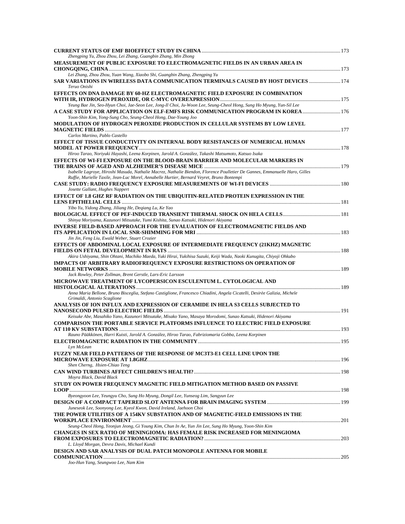| Zhengping Yu, Zhou Zhou, Lei Zhang, Guangbin Zhang, Min Zhong<br>MEASUREMENT OF PUBLIC EXPOSURE TO ELECTROMAGNETIC FIELDS IN AN URBAN AREA IN                                                                                                                             |  |
|---------------------------------------------------------------------------------------------------------------------------------------------------------------------------------------------------------------------------------------------------------------------------|--|
|                                                                                                                                                                                                                                                                           |  |
| Lei Zhang, Zhou Zhou, Yuan Wang, Xiaobo Shi, Guangbin Zhang, Zhengping Yu                                                                                                                                                                                                 |  |
| SAR VARIATIONS IN WIRELESS DATA COMMUNICATION TERMINALS CAUSED BY HOST DEVICES  174<br>Teruo Onishi                                                                                                                                                                       |  |
| EFFECTS ON DNA DAMAGE BY 60-HZ ELECTROMAGNETIC FIELD EXPOSURE IN COMBINATION                                                                                                                                                                                              |  |
| Yeung Bae Jin, Seo-Hyun Choi, Jae-Seon Lee, Jong-Il Choi, Ju-Woon Lee, Seung-Cheol Hong, Sung Ho Myung, Yun-Sil Lee<br>A CASE STUDY FOR APPLICATION ON ELF-EMFS RISK COMMUNICATION PROGRAM IN KOREA  176<br>Yoon-Shin Kim, Yong-Sung Cho, Seung-Cheol Hong, Dae-Young Joo |  |
| MODULATION OF HYDROGEN PEROXIDE PRODUCTION IN CELLULAR SYSTEMS BY LOW LEVEL                                                                                                                                                                                               |  |
| Carlos Martino, Pablo Castello                                                                                                                                                                                                                                            |  |
| EFFECT OF TISSUE CONDUCTIVITY ON INTERNAL BODY RESISTANCES OF NUMERICAL HUMAN                                                                                                                                                                                             |  |
| Hiroo Tarao, Noriyuki Hayashi, Leena Korpinen, Jarold A. González, Takashi Matsumoto, Katsuo Isaka<br>EFFECTS OF WI-FI EXPOSURE ON THE BLOOD-BRAIN BARRIER AND MOLECULAR MARKERS IN                                                                                       |  |
|                                                                                                                                                                                                                                                                           |  |
| Isabelle Lagroye, Hiroshi Masuda, Nathalie Macrez, Nathalie Biendon, Florence Poulletier De Gannes, Emmanuelle Haro, Gilles<br>Ruffie, Murielle Taxile, Jean-Luc Morel, Annabelle Hurtier, Bernard Veyret, Bruno Bontempi                                                 |  |
|                                                                                                                                                                                                                                                                           |  |
| Josette Gallant, Hughes Nappert<br>EFFECT OF 1.8 GHZ RF RADIATION ON THE UBIQUITIN-RELATED PROTEIN EXPRESSION IN THE                                                                                                                                                      |  |
|                                                                                                                                                                                                                                                                           |  |
| Yibo Yu, Yidong Zhang, Jiliang He, Deqiang Lu, Ke Yao                                                                                                                                                                                                                     |  |
| Shinya Moriyama, Kazunori Mitsutake, Yumi Kishita, Sunao Katsuki, Hidenori Akiyama                                                                                                                                                                                        |  |
| <b>INVERSE FIELD-BASED APPROACH FOR THE EVALUATION OF ELECTROMAGNETIC FIELDS AND</b>                                                                                                                                                                                      |  |
| Jin Jin, Feng Liu, Ewald Weber, Stuart Crozier                                                                                                                                                                                                                            |  |
| EFFECTS OF ABDOMINAL LOCAL EXPOSURE OF INTERMEDIATE FREQUENCY (21KHZ) MAGNETIC                                                                                                                                                                                            |  |
| Akira Ushiyama, Shin Ohtani, Machiko Maeda, Yuki Hirai, Yukihisa Suzuki, Keiji Wada, Naoki Kunugita, Chiyoji Ohkubo<br>IMPACTS OF ARBITRARY RADIOFREQUENCY EXPOSURE RESTRICTIONS ON OPERATION OF                                                                          |  |
| Jack Rowley, Peter Zollman, Brent Gerstle, Lars-Eric Larsson                                                                                                                                                                                                              |  |
| MICROWAVE TREATMENT OF LYCOPERSICON ESCULENTUM L. CYTOLOGICAL AND                                                                                                                                                                                                         |  |
| Anna Maria Bellone, Bruno Bisceglia, Stefano Castiglione, Francesco Chiadini, Angela Cicatelli, Desirèe Galizia, Michele<br>Grimaldi, Antonio Scaglione                                                                                                                   |  |
| ANALYSIS OF ION INFLUX AND EXPRESSION OF CERAMIDE IN HELA S3 CELLS SUBJECTED TO                                                                                                                                                                                           |  |
|                                                                                                                                                                                                                                                                           |  |
| Keisuke Abe, Masahiko Yano, Kazunori Mitsutake, Misako Yano, Masaya Morodomi, Sunao Katsuki, Hidenori Akiyama<br><b>COMPARISON THE PORTABLE SERVICE PLATFORMS INFLUENCE TO ELECTRIC FIELD EXPOSURE</b>                                                                    |  |
|                                                                                                                                                                                                                                                                           |  |
| Rauno Pääkkönen, Harri Kuisti, Jarold A. González, Hiroo Tarao, Fabriziomaria Gobba, Leena Korpinen                                                                                                                                                                       |  |
| Lyn McLean                                                                                                                                                                                                                                                                |  |
| FUZZY NEAR FIELD PATTERNS OF THE RESPONSE OF MC3T3-E1 CELL LINE UPON THE                                                                                                                                                                                                  |  |
|                                                                                                                                                                                                                                                                           |  |
| Shen Cherng, Hsien-Chiao Teng                                                                                                                                                                                                                                             |  |
| Moyra Black, David Black                                                                                                                                                                                                                                                  |  |
| STUDY ON POWER FREQUENCY MAGNETIC FIELD MITIGATION METHOD BASED ON PASSIVE                                                                                                                                                                                                |  |
| Byeongyoon Lee, Yeungyu Cho, Sung Ho Myung, Dongil Lee, Yunseog Lim, Sangyun Lee                                                                                                                                                                                          |  |
|                                                                                                                                                                                                                                                                           |  |
| Juneseok Lee, Soonyong Lee, Kyeol Kwon, David Ireland, Jaehoon Choi                                                                                                                                                                                                       |  |
| THE POWER UTILITIES OF A 154KV SUBSTATION AND OF MAGNETIC-FIELD EMISSIONS IN THE                                                                                                                                                                                          |  |
| Seung-Cheol Hong, Yeonjun Jeong, Gi Young Kim, Chun In Ae, Yun Jin Lee, Sung Ho Myung, Yoon-Shin Kim                                                                                                                                                                      |  |
| <b>CHANGES IN SEX RATIO OF MENINGIOMA: HAS FEMALE RISK INCREASED FOR MENINGIOMA</b>                                                                                                                                                                                       |  |
| L. Lloyd Morgan, Devra Davis, Michael Kundi                                                                                                                                                                                                                               |  |
| DESIGN AND SAR ANALYSIS OF DUAL PATCH MONOPOLE ANTENNA FOR MOBILE                                                                                                                                                                                                         |  |
|                                                                                                                                                                                                                                                                           |  |
| Joo-Hun Yang, Seungwoo Lee, Nam Kim                                                                                                                                                                                                                                       |  |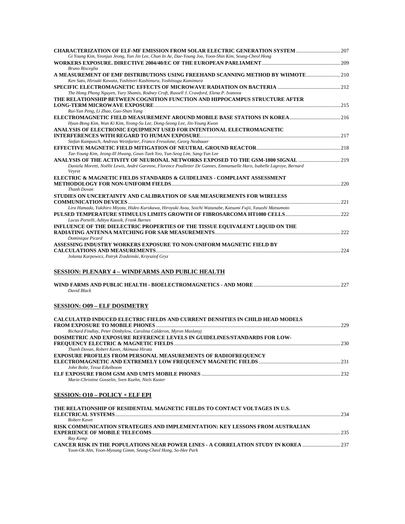| <b>CHARACTERIZATION OF ELF-MF EMISSION FROM SOLAR ELECTRIC GENERATION SYSTEM 207</b>                                                                                                                                  |  |
|-----------------------------------------------------------------------------------------------------------------------------------------------------------------------------------------------------------------------|--|
| Gi Young Kim, Yeonjun Jeong, Yun Jin Lee, Chun In Ae, Dae-Young Joo, Yoon-Shin Kim, Seung-Cheol Hong                                                                                                                  |  |
| Bruno Bisceglia<br>A MEASUREMENT OF EMF DISTRIBUTIONS USING FREEHAND SCANNING METHOD BY WIIMOTE 210                                                                                                                   |  |
| Ken Sato, Hiroaki Kawata, Yoshinori Kashimura, Yoshitsugu Kamimura                                                                                                                                                    |  |
| The Hong Phong Nguyen, Yury Shamis, Rodney Croft, Russell J. Crawford, Elena P. Ivanova<br>THE RELATIONSHIP BETWEEN COGNITION FUNCTION AND HIPPOCAMPUS STRUCTURE AFTER                                                |  |
| Rui-Yun Peng, Li Zhao, Guo-Shan Yang                                                                                                                                                                                  |  |
| Hyun-Bong Kim, Wan Ki Kim, Yeong-Su Lee, Dong-Seong Lee, Jin-Young Kwon<br>ANALYSIS OF ELECTRONIC EQUIPMENT USED FOR INTENTIONAL ELECTROMAGNETIC                                                                      |  |
| Stefan Kampusch, Andreas Weinfurter, Franco Fresolone, Georg Neubauer                                                                                                                                                 |  |
| Tae-Young Kim, Jeong-Ill Hwang, Geun-Taek Yeo, Yun-Seog Lim, Sang-Yun Lee                                                                                                                                             |  |
| ANALYSIS OF THE ACTIVITY OF NEURONAL NETWORKS EXPOSED TO THE GSM-1800 SIGNAL 219<br>Daniela Moretti, Noëlle Lewis, André Garenne, Florence Poulletier De Gannes, Emmanuelle Haro, Isabelle Lagroye, Bernard<br>Veyret |  |
| ELECTRIC & MAGNETIC FIELDS STANDARDS & GUIDELINES - COMPLIANT ASSESSMENT                                                                                                                                              |  |
| Thanh Dovan<br>STUDIES ON UNCERTAINTY AND CALIBRATION OF SAR MEASUREMENTS FOR WIRELESS                                                                                                                                |  |
| Lira Hamada, Yukihiro Miyota, Hideo Kurokawa, Hiroyuki Asou, Soichi Watanabe, Katsumi Fujii, Yasushi Matsumoto                                                                                                        |  |
| Lucas Portelli, Aditya Kausik, Frank Barnes<br>INFLUENCE OF THE DIELECTRIC PROPERTIES OF THE TISSUE EQUIVALENT LIQUID ON THE                                                                                          |  |
| Dominique Picard                                                                                                                                                                                                      |  |
| ASSESSING INDUSTRY WORKERS EXPOSURE TO NON-UNIFORM MAGNETIC FIELD BY                                                                                                                                                  |  |
| Jolanta Karpowicz, Patryk Zradzinski, Krzysztof Gryz                                                                                                                                                                  |  |
| SESSION: PLENARY 4 – WINDFARMS AND PUBLIC HEALTH                                                                                                                                                                      |  |
| David Black                                                                                                                                                                                                           |  |
| <b>SESSION: 009 - ELF DOSIMETRY</b>                                                                                                                                                                                   |  |
| CALCULATED INDUCED ELECTRIC FIELDS AND CURRENT DENSITIES IN CHILD HEAD MODELS                                                                                                                                         |  |
| Richard Findlay, Peter Dimbylow, Carolina Calderon, Myron Maslanyj<br><b>DOSIMETRIC AND EXPOSURE REFERENCE LEVELS IN GUIDELINES/STANDARDS FOR LOW-</b>                                                                |  |
| Thanh Dovan, Robert Kavet, Akimasa Hirata                                                                                                                                                                             |  |
| <b>EXPOSURE PROFILES FROM PERSONAL MEASUREMENTS OF RADIOFREQUENCY</b>                                                                                                                                                 |  |
| John Bolte, Tessa Eikelboom<br>Marie-Christine Gosselin, Sven Kuehn, Niels Kuster                                                                                                                                     |  |
| <u>SESSION: 010 – POLICY + ELF EPI</u>                                                                                                                                                                                |  |
|                                                                                                                                                                                                                       |  |
| THE RELATIONSHIP OF RESIDENTIAL MAGNETIC FIELDS TO CONTACT VOLTAGES IN U.S.<br>Robert Kavet                                                                                                                           |  |
| RISK COMMUNICATION STRATEGIES AND IMPLEMENTATION: KEY LESSONS FROM AUSTRALIAN                                                                                                                                         |  |
| Ray Kemp                                                                                                                                                                                                              |  |
| CANCER RISK IN THE POPULATIONS NEAR POWER LINES - A CORRELATION STUDY IN KOREA 237<br>Yoon-Ok Ahn, Yoon-Myoung Gimm, Seung-Cheol Hong, So-Hee Park                                                                    |  |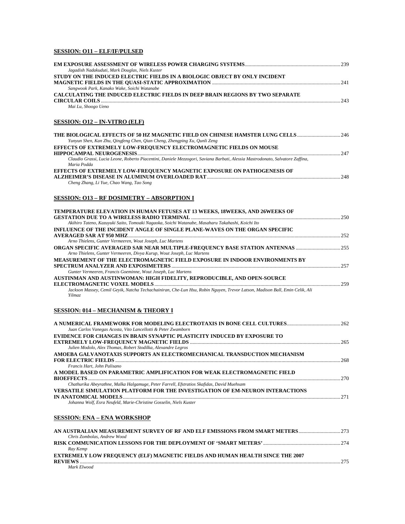# **SESSION: O11 – ELF/IF/PULSED**

| Jagadish Nadakuduti, Mark Douglas, Niels Kuster                                                                                              |  |
|----------------------------------------------------------------------------------------------------------------------------------------------|--|
| STUDY ON THE INDUCED ELECTRIC FIELDS IN A BIOLOGIC OBJECT BY ONLY INCIDENT                                                                   |  |
|                                                                                                                                              |  |
| Sangwook Park, Kanako Wake, Soichi Watanabe                                                                                                  |  |
| CALCULATING THE INDUCED ELECTRIC FIELDS IN DEEP BRAIN REGIONS BY TWO SEPARATE                                                                |  |
|                                                                                                                                              |  |
| Mai Lu, Shoogo Ueno                                                                                                                          |  |
| <b>SESSION: 012 – IN-VITRO (ELF)</b>                                                                                                         |  |
|                                                                                                                                              |  |
| Yunyun Shen, Kan Zhu, Qingfeng Chen, Qian Cheng, Zhengping Xu, Qunli Zeng                                                                    |  |
| EFFECTS OF EXTREMELY LOW-FREQUENCY ELECTROMAGNETIC FIELDS ON MOUSE                                                                           |  |
|                                                                                                                                              |  |
| Claudio Grassi, Lucia Leone, Roberto Piacentini, Daniele Mezzogori, Saviana Barbati, Alessia Mastrodonato, Salvatore Zaffina,<br>Maria Podda |  |
| EFFECTS OF EXTREMELY LOW-FREQUENCY MAGNETIC EXPOSURE ON PATHOGENESIS OF                                                                      |  |
| Cheng Zhang, Li Yue, Chao Wang, Tao Song                                                                                                     |  |
| <b>SESSION: 013 - RF DOSIMETRY - ABSORPTION I</b>                                                                                            |  |
| TEMPERATURE ELEVATION IN HUMAN FETUSES AT 13 WEEKS, 18WEEKS, AND 26WEEKS OF                                                                  |  |
|                                                                                                                                              |  |
| Akihiro Tateno, Kazuyuki Saito, Tomoaki Nagaoka, Soichi Watanabe, Masaharu Takahashi, Koichi Ito                                             |  |
| INFLUENCE OF THE INCIDENT ANGLE OF SINGLE PLANE-WAVES ON THE ORGAN SPECIFIC                                                                  |  |
|                                                                                                                                              |  |
| Arno Thielens, Gunter Vermeeren, Wout Joseph, Luc Martens                                                                                    |  |
|                                                                                                                                              |  |
| Arno Thielens, Gunter Vermeeren, Divya Kurup, Wout Joseph, Luc Martens                                                                       |  |
| MEASUREMENT OF THE ELECTROMAGNETIC FIELD EXPOSURE IN INDOOR ENVIRONMENTS BY                                                                  |  |
| Gunter Vermeeren, Francis Goeminne, Wout Joseph, Luc Martens                                                                                 |  |
| AUSTINMAN AND AUSTINWOMAN: HIGH FIDELITY, REPRODUCIBLE, AND OPEN-SOURCE                                                                      |  |
|                                                                                                                                              |  |
| Jackson Massey, Cemil Geyik, Natcha Techachainiran, Che-Lun Hsu, Robin Nguyen, Trevor Latson, Madison Ball, Emin Celik, Ali<br>Yilmaz        |  |
| <b>SESSION: 014 - MECHANISM &amp; THEORY I</b>                                                                                               |  |
|                                                                                                                                              |  |
| Juan Carlos Vanegas Acosta, Vito Lancellotti & Peter Zwamborn                                                                                |  |
| EVIDENCE FOR CHANGES IN BRAIN SYNAPTIC PLASTICITY INDUCED BY EXPOSURE TO                                                                     |  |
|                                                                                                                                              |  |
| Julien Modolo, Alex Thomas, Robert Stodilka, Alexandre Legros                                                                                |  |
| AMOEBA GALVANOTAXIS SUPPORTS AN ELECTROMECHANICAL TRANSDUCTION MECHANISM                                                                     |  |
| Francis Hart, John Palisano                                                                                                                  |  |
| A MODEL BASED ON PARAMETRIC AMPLIFICATION FOR WEAK ELECTROMAGNETIC FIELD                                                                     |  |
|                                                                                                                                              |  |
| Chathurika Abeyrathne, Malka Halgamuge, Peter Farrell, Efstratios Skafidas, David Muehsam                                                    |  |
| <b>VERSATILE SIMULATION PLATFORM FOR THE INVESTIGATION OF EM-NEURON INTERACTIONS</b>                                                         |  |
|                                                                                                                                              |  |
| Johanna Wolf, Esra Neufeld, Marie-Christine Gosselin, Niels Kuster                                                                           |  |
| SESSION: ENA – ENA WORKSHOP                                                                                                                  |  |
|                                                                                                                                              |  |
| Chris Zombolas, Andrew Wood                                                                                                                  |  |
| Ray Kemp                                                                                                                                     |  |
| <b>EXTREMELY LOW FREQUENCY (ELF) MAGNETIC FIELDS AND HUMAN HEALTH SINCE THE 2007</b>                                                         |  |
| Mark Elwood                                                                                                                                  |  |